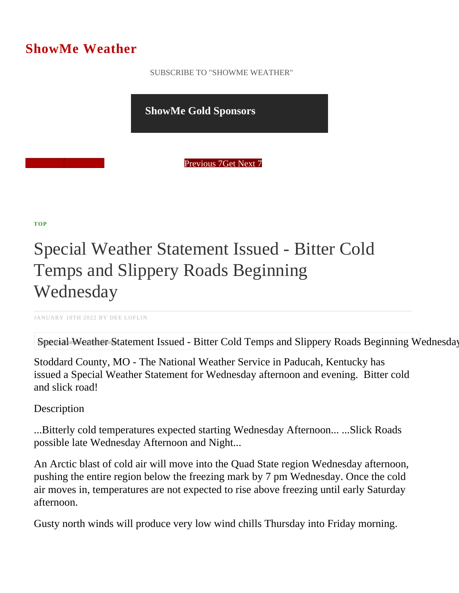## ShowMe Weather

 [SUBSCRIBE TO "SHOWME WEATHER"](/blog_rss.php)

ShowMe Gold Sponsors

Previous Get Next 1

[TOP](/var/www/showmetimes.com/root/javascript:blogScrollToTop()

## Special Weather Statement Issued - Bitter Cold Temps and Slippery Roads Beginning **Wednesday**

JANUARY 18TH 2022 BY DEE LOFLIN

Special Weather Statement Issued - Bitter Cold Temps and Slippery Roads Beginning W

Stoddard County, MO - The National Weather Service in Paducah, Kentucky has issued a Special Weather Statement for Wednesday afternoon and evening. Bitter cold and slick road!

**Description** 

...Bitterly cold temperatures expected starting Wednesday Afternoon... ...Slick Roads possible late Wednesday Afternoon and Night...

An Arctic blast of cold air will move into the Quad State region Wednesday afternoon, pushing the entire region below the freezing mark by 7 pm Wednesday. Once the cold air moves in, temperatures are not expected to rise above freezing until early Saturday afternoon.

Gusty north winds will produce very low wind chills Thursday into Friday morning.